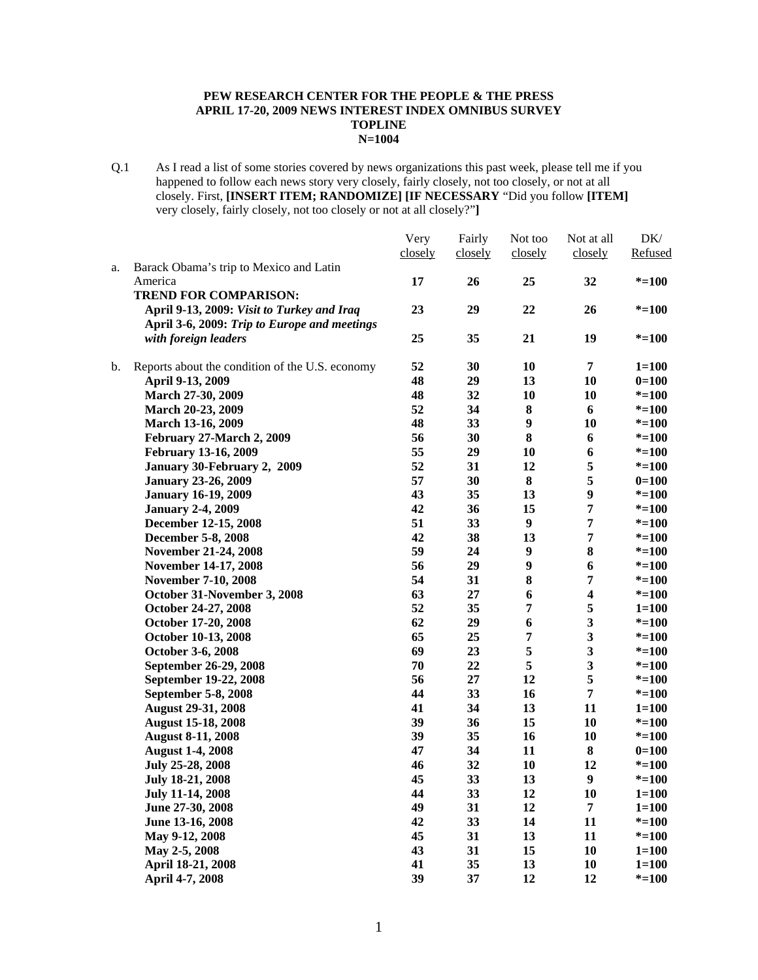#### **PEW RESEARCH CENTER FOR THE PEOPLE & THE PRESS APRIL 17-20, 2009 NEWS INTEREST INDEX OMNIBUS SURVEY TOPLINE N=1004**

Q.1 As I read a list of some stories covered by news organizations this past week, please tell me if you happened to follow each news story very closely, fairly closely, not too closely, or not at all closely. First, **[INSERT ITEM; RANDOMIZE] [IF NECESSARY** "Did you follow **[ITEM]**  very closely, fairly closely, not too closely or not at all closely?"**]** 

|    |                                                 | Very    | Fairly  | Not too        | Not at all              | DK/       |
|----|-------------------------------------------------|---------|---------|----------------|-------------------------|-----------|
|    |                                                 | closely | closely | closely        | closely                 | Refused   |
| a. | Barack Obama's trip to Mexico and Latin         |         |         |                |                         |           |
|    | America                                         | 17      | 26      | 25             | 32                      | $* = 100$ |
|    | <b>TREND FOR COMPARISON:</b>                    |         |         |                |                         |           |
|    | April 9-13, 2009: Visit to Turkey and Iraq      | 23      | 29      | 22             | 26                      | $* = 100$ |
|    | April 3-6, 2009: Trip to Europe and meetings    |         |         |                |                         |           |
|    | with foreign leaders                            | 25      | 35      | 21             | 19                      | $* = 100$ |
| b. | Reports about the condition of the U.S. economy | 52      | 30      | 10             | $\overline{7}$          | $1 = 100$ |
|    | April 9-13, 2009                                | 48      | 29      | 13             | 10                      | $0=100$   |
|    | March 27-30, 2009                               | 48      | 32      | 10             | 10                      | $* = 100$ |
|    | March 20-23, 2009                               | 52      | 34      | ${\bf 8}$      | 6                       | $* = 100$ |
|    | March 13-16, 2009                               | 48      | 33      | 9              | 10                      | $* = 100$ |
|    | February 27-March 2, 2009                       | 56      | 30      | 8              | 6                       | $* = 100$ |
|    | February 13-16, 2009                            | 55      | 29      | 10             | 6                       | $* = 100$ |
|    | January 30-February 2, 2009                     | 52      | 31      | 12             | 5                       | $* = 100$ |
|    | <b>January 23-26, 2009</b>                      | 57      | 30      | 8              | 5                       | $0=100$   |
|    | <b>January 16-19, 2009</b>                      | 43      | 35      | 13             | $\boldsymbol{9}$        | $* = 100$ |
|    | <b>January 2-4, 2009</b>                        | 42      | 36      | 15             | 7                       | $* = 100$ |
|    | December 12-15, 2008                            | 51      | 33      | 9              | $\overline{7}$          | $* = 100$ |
|    | December 5-8, 2008                              | 42      | 38      | 13             | 7                       | $* = 100$ |
|    | November 21-24, 2008                            | 59      | 24      | 9              | ${\bf 8}$               | $* = 100$ |
|    | November 14-17, 2008                            | 56      | 29      | 9              | 6                       | $* = 100$ |
|    | <b>November 7-10, 2008</b>                      | 54      | 31      | 8              | 7                       | $* = 100$ |
|    | October 31-November 3, 2008                     | 63      | 27      | 6              | $\overline{\mathbf{4}}$ | $* = 100$ |
|    | October 24-27, 2008                             | 52      | 35      | $\overline{7}$ | 5                       | $1 = 100$ |
|    | October 17-20, 2008                             | 62      | 29      | 6              | $\mathbf{3}$            | $* = 100$ |
|    | October 10-13, 2008                             | 65      | 25      | 7              | 3                       | $* = 100$ |
|    | October 3-6, 2008                               | 69      | 23      | 5              | 3                       | $* = 100$ |
|    | September 26-29, 2008                           | 70      | 22      | 5              | 3                       | $* = 100$ |
|    | September 19-22, 2008                           | 56      | 27      | 12             | 5                       | $* = 100$ |
|    | September 5-8, 2008                             | 44      | 33      | 16             | 7                       | $* = 100$ |
|    | <b>August 29-31, 2008</b>                       | 41      | 34      | 13             | 11                      | $1 = 100$ |
|    | <b>August 15-18, 2008</b>                       | 39      | 36      | 15             | 10                      | $* = 100$ |
|    | <b>August 8-11, 2008</b>                        | 39      | 35      | 16             | 10                      | $* = 100$ |
|    | <b>August 1-4, 2008</b>                         | 47      | 34      | 11             | 8                       | $0=100$   |
|    | July 25-28, 2008                                | 46      | 32      | 10             | 12                      | $* = 100$ |
|    | <b>July 18-21, 2008</b>                         | 45      | 33      | 13             | 9                       | $* = 100$ |
|    | <b>July 11-14, 2008</b>                         | 44      | 33      | 12             | <b>10</b>               | $1 = 100$ |
|    | June 27-30, 2008                                | 49      | 31      | 12             | $\overline{7}$          | $1 = 100$ |
|    | June 13-16, 2008                                | 42      | 33      | 14             | 11                      | $* = 100$ |
|    | May 9-12, 2008                                  | 45      | 31      | 13             | 11                      | $* = 100$ |
|    | May 2-5, 2008                                   | 43      | 31      | 15             | 10                      | $1 = 100$ |
|    | April 18-21, 2008                               | 41      | 35      | 13             | 10                      | $1 = 100$ |
|    | April 4-7, 2008                                 | 39      | 37      | 12             | 12                      | $* = 100$ |
|    |                                                 |         |         |                |                         |           |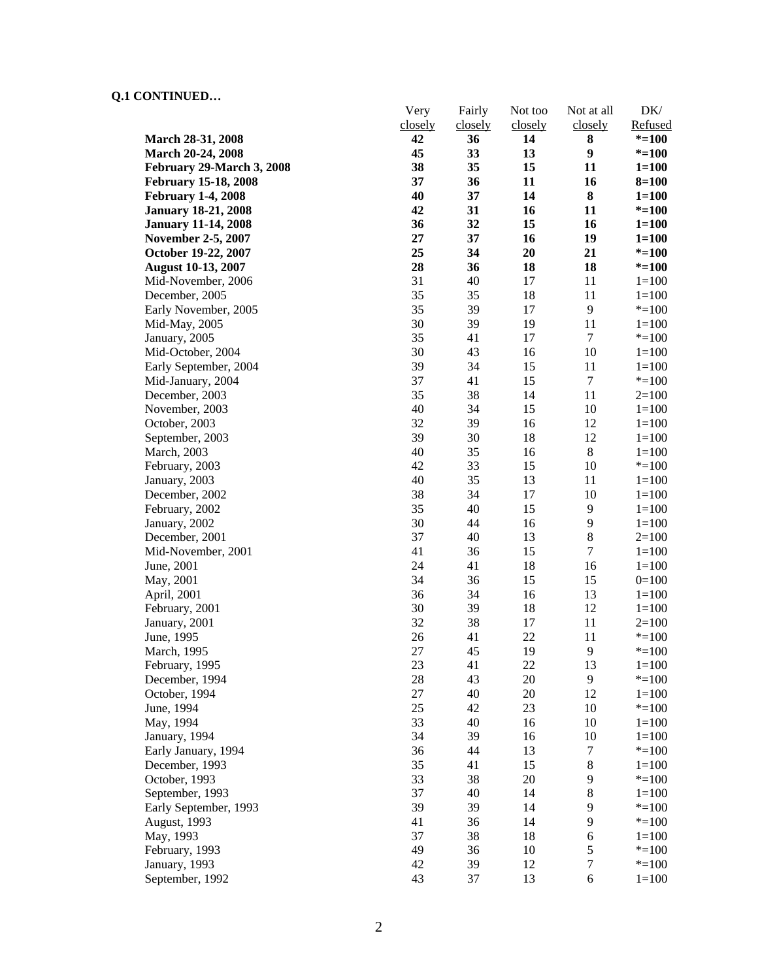# **Q.1 CONTINUED…**

|                             | Very    | Fairly  | Not too | Not at all       | DK/       |
|-----------------------------|---------|---------|---------|------------------|-----------|
|                             | closely | closely | closely | closely          | Refused   |
| March 28-31, 2008           | 42      | 36      | 14      | 8                | $* = 100$ |
| March 20-24, 2008           | 45      | 33      | 13      | 9                | $* = 100$ |
| February 29-March 3, 2008   | 38      | 35      | 15      | 11               | $1 = 100$ |
| <b>February 15-18, 2008</b> | 37      | 36      | 11      | 16               | $8 = 100$ |
| <b>February 1-4, 2008</b>   | 40      | 37      | 14      | ${\bf 8}$        | $1 = 100$ |
| <b>January 18-21, 2008</b>  | 42      | 31      | 16      | 11               | $* = 100$ |
| <b>January 11-14, 2008</b>  | 36      | 32      | 15      | 16               | $1 = 100$ |
| <b>November 2-5, 2007</b>   | 27      | 37      | 16      | 19               | $1 = 100$ |
| October 19-22, 2007         | 25      | 34      | 20      | 21               | $* = 100$ |
| <b>August 10-13, 2007</b>   | 28      | 36      | 18      | 18               | $* = 100$ |
| Mid-November, 2006          | 31      | 40      | 17      | 11               | $1=100$   |
| December, 2005              | 35      | 35      | 18      | 11               | $1 = 100$ |
| Early November, 2005        | 35      | 39      | 17      | 9                | $* = 100$ |
| Mid-May, 2005               | 30      | 39      | 19      | 11               | $1 = 100$ |
| January, 2005               | 35      | 41      | 17      | $\boldsymbol{7}$ | $* = 100$ |
| Mid-October, 2004           | 30      | 43      | 16      | 10               | $1 = 100$ |
| Early September, 2004       | 39      | 34      | 15      | 11               | $1 = 100$ |
| Mid-January, 2004           | 37      | 41      | 15      | $\boldsymbol{7}$ | $* = 100$ |
| December, 2003              | 35      | 38      | 14      | 11               | $2=100$   |
| November, 2003              | 40      | 34      | 15      | 10               | $1 = 100$ |
| October, 2003               | 32      | 39      | 16      | 12               | $1 = 100$ |
| September, 2003             | 39      | 30      | 18      | 12               | $1 = 100$ |
| March, 2003                 | 40      | 35      | 16      | 8                | $1 = 100$ |
| February, 2003              | 42      | 33      | 15      | 10               | $* = 100$ |
| January, 2003               | 40      | 35      | 13      | 11               | $1 = 100$ |
| December, 2002              | 38      | 34      | 17      | 10               | $1 = 100$ |
| February, 2002              | 35      | 40      | 15      | 9                | $1 = 100$ |
| January, 2002               | 30      | 44      | 16      | 9                | $1 = 100$ |
| December, 2001              | 37      | 40      | 13      | $\,8\,$          | $2=100$   |
| Mid-November, 2001          | 41      | 36      | 15      | $\boldsymbol{7}$ | $1 = 100$ |
| June, 2001                  | 24      | 41      | 18      | 16               | $1 = 100$ |
| May, 2001                   | 34      | 36      | 15      | 15               | $0=100$   |
| April, 2001                 | 36      | 34      | 16      | 13               | $1 = 100$ |
| February, 2001              | 30      | 39      | 18      | 12               | $1 = 100$ |
| January, 2001               | 32      | 38      | 17      | 11               | $2=100$   |
| June, 1995                  | 26      | 41      | 22      | 11               | $* = 100$ |
| March, 1995                 | 27      | 45      | 19      | 9                | $* = 100$ |
| February, 1995              | 23      | 41      | 22      | 13               | $1 = 100$ |
| December, 1994              | 28      | 43      | 20      | 9                | $* = 100$ |
| October, 1994               | 27      | 40      | 20      | 12               | $1 = 100$ |
| June, 1994                  | 25      | 42      | 23      | 10               | $* = 100$ |
| May, 1994                   | 33      | 40      | 16      | 10               | $1 = 100$ |
| January, 1994               | 34      | 39      | 16      | 10               | $1 = 100$ |
| Early January, 1994         | 36      | 44      | 13      | 7                | $* = 100$ |
| December, 1993              | 35      | 41      | 15      | $\,8\,$          | $1 = 100$ |
| October, 1993               | 33      | 38      | 20      | 9                | $* = 100$ |
| September, 1993             | 37      | 40      | 14      | $8\,$            | $1 = 100$ |
| Early September, 1993       | 39      | 39      | 14      | 9                | $* = 100$ |
|                             | 41      | 36      | 14      | 9                | $* = 100$ |
| August, 1993                | 37      | 38      | 18      | 6                | $1 = 100$ |
| May, 1993<br>February, 1993 | 49      | 36      | 10      | $\sqrt{5}$       | $* = 100$ |
| January, 1993               | 42      | 39      | 12      | $\boldsymbol{7}$ | $* = 100$ |
|                             | 43      |         | 13      | $\epsilon$       |           |
| September, 1992             |         | 37      |         |                  | $1 = 100$ |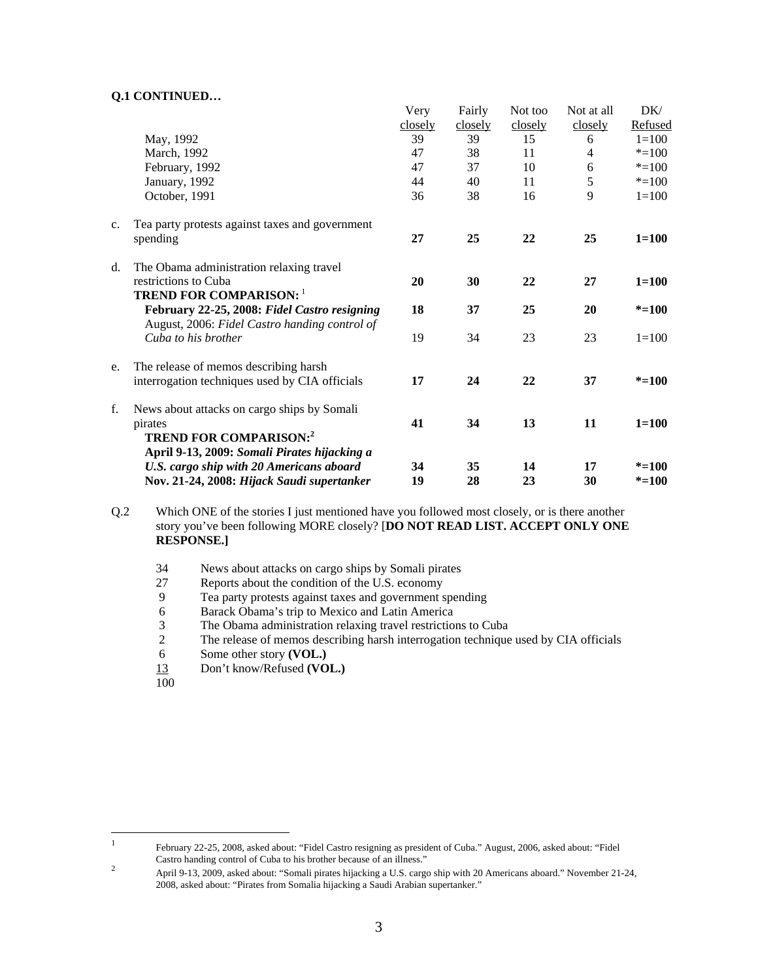## **Q.1 CONTINUED…**

|                                                 | Very                                                                                                                                                                                                                                                                                         | Fairly                          | Not too                               | Not at all                      | DK/                                           |
|-------------------------------------------------|----------------------------------------------------------------------------------------------------------------------------------------------------------------------------------------------------------------------------------------------------------------------------------------------|---------------------------------|---------------------------------------|---------------------------------|-----------------------------------------------|
|                                                 |                                                                                                                                                                                                                                                                                              |                                 |                                       |                                 | Refused                                       |
|                                                 |                                                                                                                                                                                                                                                                                              |                                 |                                       |                                 | $1 = 100$                                     |
|                                                 |                                                                                                                                                                                                                                                                                              |                                 |                                       |                                 | $* = 100$                                     |
|                                                 |                                                                                                                                                                                                                                                                                              |                                 |                                       |                                 | $* = 100$                                     |
|                                                 |                                                                                                                                                                                                                                                                                              |                                 |                                       |                                 | $* = 100$                                     |
|                                                 | 36                                                                                                                                                                                                                                                                                           | 38                              | 16                                    |                                 | $1 = 100$                                     |
| Tea party protests against taxes and government |                                                                                                                                                                                                                                                                                              |                                 |                                       |                                 |                                               |
| spending                                        | 27                                                                                                                                                                                                                                                                                           | 25                              | 22                                    | 25                              | $1 = 100$                                     |
| The Obama administration relaxing travel        |                                                                                                                                                                                                                                                                                              |                                 |                                       |                                 |                                               |
| restrictions to Cuba                            | 20                                                                                                                                                                                                                                                                                           | 30                              | 22                                    | 27                              | $1 = 100$                                     |
|                                                 |                                                                                                                                                                                                                                                                                              |                                 |                                       |                                 |                                               |
| February 22-25, 2008: Fidel Castro resigning    | 18                                                                                                                                                                                                                                                                                           | 37                              | 25                                    | 20                              | $* = 100$                                     |
| Cuba to his brother                             | 19                                                                                                                                                                                                                                                                                           | 34                              | 23                                    | 23                              | $1 = 100$                                     |
| The release of memos describing harsh           |                                                                                                                                                                                                                                                                                              |                                 |                                       |                                 |                                               |
| interrogation techniques used by CIA officials  | 17                                                                                                                                                                                                                                                                                           | 24                              | 22                                    | 37                              | $* = 100$                                     |
| News about attacks on cargo ships by Somali     |                                                                                                                                                                                                                                                                                              |                                 |                                       |                                 |                                               |
| pirates                                         | 41                                                                                                                                                                                                                                                                                           | 34                              | 13                                    | 11                              | $1 = 100$                                     |
|                                                 |                                                                                                                                                                                                                                                                                              |                                 |                                       |                                 |                                               |
|                                                 | 34                                                                                                                                                                                                                                                                                           |                                 | 14                                    | 17                              | $* = 100$                                     |
| Nov. 21-24, 2008: Hijack Saudi supertanker      | 19                                                                                                                                                                                                                                                                                           | 28                              | 23                                    | 30                              | $* = 100$                                     |
|                                                 | May, 1992<br>March, 1992<br>February, 1992<br>January, 1992<br>October, 1991<br><b>TREND FOR COMPARISON: 1</b><br>August, 2006: Fidel Castro handing control of<br><b>TREND FOR COMPARISON:2</b><br>April 9-13, 2009: Somali Pirates hijacking a<br>U.S. cargo ship with 20 Americans aboard | closely<br>39<br>47<br>47<br>44 | closely<br>39<br>38<br>37<br>40<br>35 | closely<br>15<br>11<br>10<br>11 | closely<br>6<br>$\overline{4}$<br>6<br>5<br>9 |

Q.2 Which ONE of the stories I just mentioned have you followed most closely, or is there another story you've been following MORE closely? [**DO NOT READ LIST. ACCEPT ONLY ONE RESPONSE.]** 

- 34 News about attacks on cargo ships by Somali pirates
- 27 Reports about the condition of the U.S. economy
- 9 Tea party protests against taxes and government spending
- 6 Barack Obama's trip to Mexico and Latin America
- 3 The Obama administration relaxing travel restrictions to Cuba<br>2 The release of memos describing harsh interrogation technique
- 2 The release of memos describing harsh interrogation technique used by CIA officials
- 6 Some other story **(VOL.)**
- 13 Don't know/Refused **(VOL.)**
- 100

 $\frac{1}{1}$ 

February 22-25, 2008, asked about: "Fidel Castro resigning as president of Cuba." August, 2006, asked about: "Fidel Castro handing control of Cuba to his brother because of an illness."<br>2

April 9-13, 2009, asked about: "Somali pirates hijacking a U.S. cargo ship with 20 Americans aboard." November 21-24, 2008, asked about: "Pirates from Somalia hijacking a Saudi Arabian supertanker."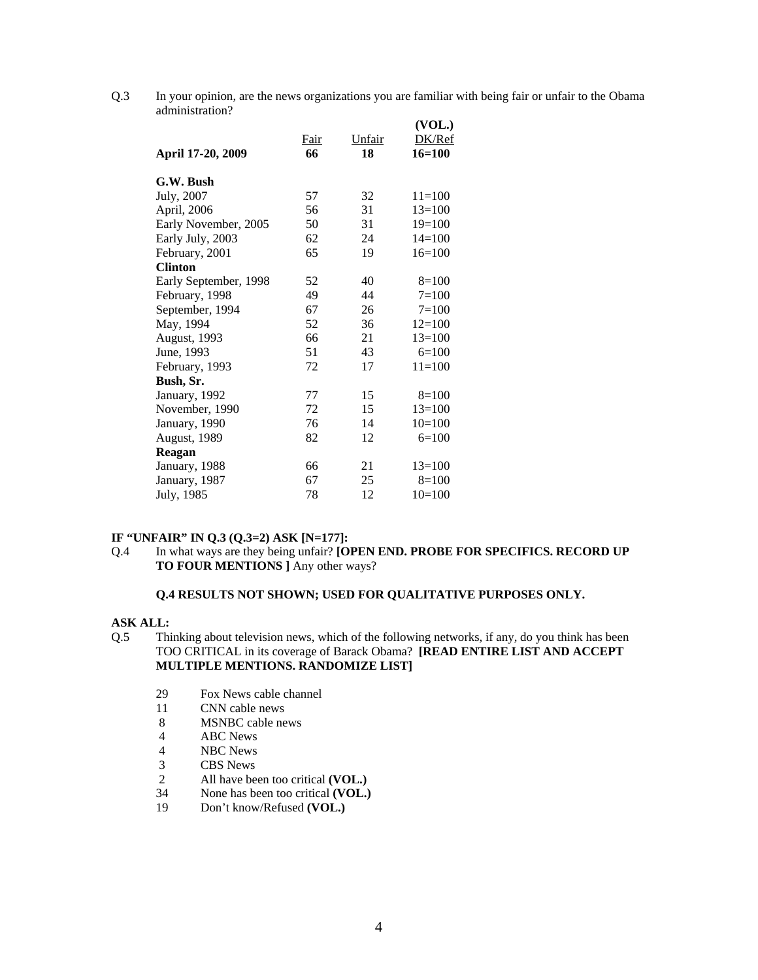Q.3 In your opinion, are the news organizations you are familiar with being fair or unfair to the Obama administration?

| April 17-20, 2009     | <b>Fair</b><br>66 | Unfair<br>18 | (VOL.)<br>DK/Ref<br>16=100 |
|-----------------------|-------------------|--------------|----------------------------|
| G.W. Bush             |                   |              |                            |
| July, 2007            | 57                | 32           | $11=100$                   |
| April, 2006           | 56                | 31           | $13=100$                   |
| Early November, 2005  | 50                | 31           | $19=100$                   |
| Early July, 2003      | 62                | 24           | $14=100$                   |
| February, 2001        | 65                | 19           | $16=100$                   |
| <b>Clinton</b>        |                   |              |                            |
| Early September, 1998 | 52                | 40           | $8=100$                    |
| February, 1998        | 49                | 44           | $7 = 100$                  |
| September, 1994       | 67                | 26           | $7 = 100$                  |
| May, 1994             | 52                | 36           | $12=100$                   |
| August, 1993          | 66                | 21           | $13=100$                   |
| June, 1993            | 51                | 43           | $6=100$                    |
| February, 1993        | 72                | 17           | $11=100$                   |
| Bush, Sr.             |                   |              |                            |
| January, 1992         | 77                | 15           | $8=100$                    |
| November, 1990        | 72                | 15           | $13=100$                   |
| January, 1990         | 76                | 14           | $10=100$                   |
| August, 1989          | 82                | 12           | $6=100$                    |
| Reagan                |                   |              |                            |
| January, 1988         | 66                | 21           | $13=100$                   |
| January, 1987         | 67                | 25           | $8=100$                    |
| July, 1985            | 78                | 12           | $10=100$                   |
|                       |                   |              |                            |

## **IF "UNFAIR" IN Q.3 (Q.3=2) ASK [N=177]:**

Q.4 In what ways are they being unfair? **[OPEN END. PROBE FOR SPECIFICS. RECORD UP TO FOUR MENTIONS ]** Any other ways?

### **Q.4 RESULTS NOT SHOWN; USED FOR QUALITATIVE PURPOSES ONLY.**

#### **ASK ALL:**

- Q.5 Thinking about television news, which of the following networks, if any, do you think has been TOO CRITICAL in its coverage of Barack Obama? **[READ ENTIRE LIST AND ACCEPT MULTIPLE MENTIONS. RANDOMIZE LIST]**
	- 29 Fox News cable channel
	- 11 CNN cable news
	- 8 MSNBC cable news<br>4 ABC News
	- ABC News
	- 4 NBC News
	- 3 CBS News
	- 2 All have been too critical **(VOL.)**
	- 34 None has been too critical **(VOL.)**
	- 19 Don't know/Refused **(VOL.)**